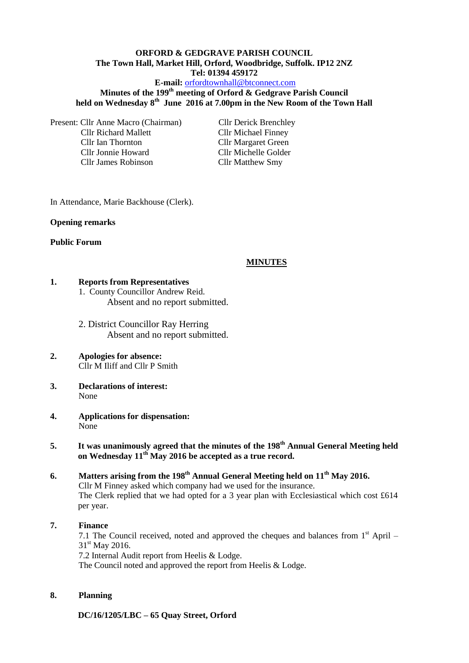# **ORFORD & GEDGRAVE PARISH COUNCIL The Town Hall, Market Hill, Orford, Woodbridge, Suffolk. IP12 2NZ Tel: 01394 459172**

### **E-mail:** [orfordtownhall@btconnect.com](mailto:orfordtownhall@btconnect.com)

# **Minutes of the 199th meeting of Orford & Gedgrave Parish Council held on Wednesday 8th June 2016 at 7.00pm in the New Room of the Town Hall**

Present: Cllr Anne Macro (Chairman) Cllr Derick Brenchley Cllr Richard Mallett Cllr Michael Finney Cllr Ian Thornton Cllr Margaret Green Cllr Jonnie Howard Cllr Michelle Golder Cllr James Robinson Cllr Matthew Smy

In Attendance, Marie Backhouse (Clerk).

### **Opening remarks**

#### **Public Forum**

### **MINUTES**

# **1. Reports from Representatives**

1. County Councillor Andrew Reid. Absent and no report submitted.

2. District Councillor Ray Herring Absent and no report submitted.

#### **2. Apologies for absence:** Cllr M Iliff and Cllr P Smith

- **3. Declarations of interest:**  None
- **4. Applications for dispensation:** None
- **5. It was unanimously agreed that the minutes of the 198th Annual General Meeting held on Wednesday 11th May 2016 be accepted as a true record.**

### **6. Matters arising from the 198th Annual General Meeting held on 11th May 2016.** Cllr M Finney asked which company had we used for the insurance. The Clerk replied that we had opted for a 3 year plan with Ecclesiastical which cost £614 per year.

#### **7. Finance**

7.1 The Council received, noted and approved the cheques and balances from  $1<sup>st</sup>$  April – 31<sup>st</sup> May 2016. 7.2 Internal Audit report from Heelis & Lodge.

The Council noted and approved the report from Heelis & Lodge.

#### **8. Planning**

**DC/16/1205/LBC – 65 Quay Street, Orford**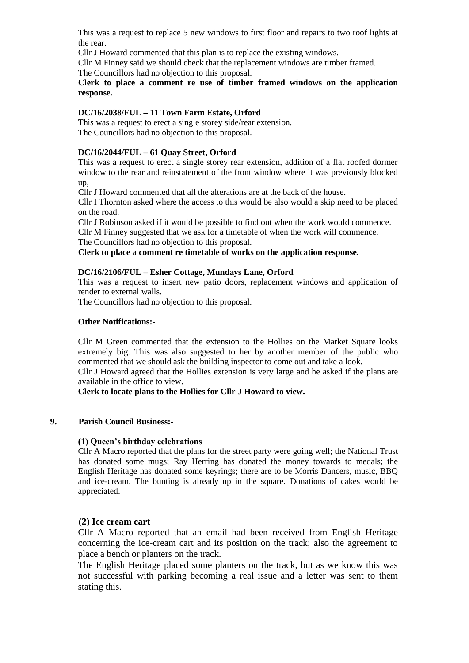This was a request to replace 5 new windows to first floor and repairs to two roof lights at the rear.

Cllr J Howard commented that this plan is to replace the existing windows.

Cllr M Finney said we should check that the replacement windows are timber framed.

The Councillors had no objection to this proposal.

### **Clerk to place a comment re use of timber framed windows on the application response.**

## **DC/16/2038/FUL – 11 Town Farm Estate, Orford**

This was a request to erect a single storey side/rear extension. The Councillors had no objection to this proposal.

# **DC/16/2044/FUL – 61 Quay Street, Orford**

This was a request to erect a single storey rear extension, addition of a flat roofed dormer window to the rear and reinstatement of the front window where it was previously blocked up,

Cllr J Howard commented that all the alterations are at the back of the house.

Cllr I Thornton asked where the access to this would be also would a skip need to be placed on the road.

Cllr J Robinson asked if it would be possible to find out when the work would commence.

Cllr M Finney suggested that we ask for a timetable of when the work will commence.

The Councillors had no objection to this proposal.

**Clerk to place a comment re timetable of works on the application response.**

### **DC/16/2106/FUL – Esher Cottage, Mundays Lane, Orford**

This was a request to insert new patio doors, replacement windows and application of render to external walls.

The Councillors had no objection to this proposal.

### **Other Notifications:-**

Cllr M Green commented that the extension to the Hollies on the Market Square looks extremely big. This was also suggested to her by another member of the public who commented that we should ask the building inspector to come out and take a look.

Cllr J Howard agreed that the Hollies extension is very large and he asked if the plans are available in the office to view.

**Clerk to locate plans to the Hollies for Cllr J Howard to view.**

### **9. Parish Council Business:-**

### **(1) Queen's birthday celebrations**

Cllr A Macro reported that the plans for the street party were going well; the National Trust has donated some mugs; Ray Herring has donated the money towards to medals; the English Heritage has donated some keyrings; there are to be Morris Dancers, music, BBQ and ice-cream. The bunting is already up in the square. Donations of cakes would be appreciated.

### **(2) Ice cream cart**

Cllr A Macro reported that an email had been received from English Heritage concerning the ice-cream cart and its position on the track; also the agreement to place a bench or planters on the track.

The English Heritage placed some planters on the track, but as we know this was not successful with parking becoming a real issue and a letter was sent to them stating this.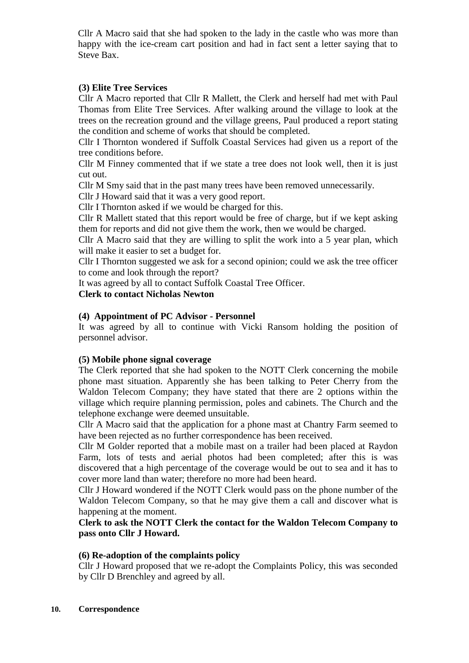Cllr A Macro said that she had spoken to the lady in the castle who was more than happy with the ice-cream cart position and had in fact sent a letter saying that to Steve Bax.

# **(3) Elite Tree Services**

Cllr A Macro reported that Cllr R Mallett, the Clerk and herself had met with Paul Thomas from Elite Tree Services. After walking around the village to look at the trees on the recreation ground and the village greens, Paul produced a report stating the condition and scheme of works that should be completed.

Cllr I Thornton wondered if Suffolk Coastal Services had given us a report of the tree conditions before.

Cllr M Finney commented that if we state a tree does not look well, then it is just cut out.

Cllr M Smy said that in the past many trees have been removed unnecessarily.

Cllr J Howard said that it was a very good report.

Cllr I Thornton asked if we would be charged for this.

Cllr R Mallett stated that this report would be free of charge, but if we kept asking them for reports and did not give them the work, then we would be charged.

Cllr A Macro said that they are willing to split the work into a 5 year plan, which will make it easier to set a budget for.

Cllr I Thornton suggested we ask for a second opinion; could we ask the tree officer to come and look through the report?

It was agreed by all to contact Suffolk Coastal Tree Officer.

# **Clerk to contact Nicholas Newton**

# **(4) Appointment of PC Advisor - Personnel**

It was agreed by all to continue with Vicki Ransom holding the position of personnel advisor.

### **(5) Mobile phone signal coverage**

The Clerk reported that she had spoken to the NOTT Clerk concerning the mobile phone mast situation. Apparently she has been talking to Peter Cherry from the Waldon Telecom Company; they have stated that there are 2 options within the village which require planning permission, poles and cabinets. The Church and the telephone exchange were deemed unsuitable.

Cllr A Macro said that the application for a phone mast at Chantry Farm seemed to have been rejected as no further correspondence has been received.

Cllr M Golder reported that a mobile mast on a trailer had been placed at Raydon Farm, lots of tests and aerial photos had been completed; after this is was discovered that a high percentage of the coverage would be out to sea and it has to cover more land than water; therefore no more had been heard.

Cllr J Howard wondered if the NOTT Clerk would pass on the phone number of the Waldon Telecom Company, so that he may give them a call and discover what is happening at the moment.

**Clerk to ask the NOTT Clerk the contact for the Waldon Telecom Company to pass onto Cllr J Howard.**

# **(6) Re-adoption of the complaints policy**

Cllr J Howard proposed that we re-adopt the Complaints Policy, this was seconded by Cllr D Brenchley and agreed by all.